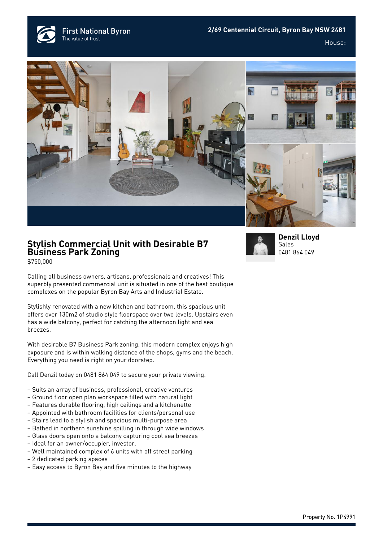**First National Byron** The value of trust

House:





## **Stylish Commercial Unit with Desirable B7 Business Park Zoning**

\$750,000

Calling all business owners, artisans, professionals and creatives! This superbly presented commercial unit is situated in one of the best boutique complexes on the popular Byron Bay Arts and Industrial Estate.

Stylishly renovated with a new kitchen and bathroom, this spacious unit offers over 130m2 of studio style floorspace over two levels. Upstairs even has a wide balcony, perfect for catching the afternoon light and sea breezes.

With desirable B7 Business Park zoning, this modern complex enjoys high exposure and is within walking distance of the shops, gyms and the beach. Everything you need is right on your doorstep.

Call Denzil today on 0481 864 049 to secure your private viewing.

- Suits an array of business, professional, creative ventures
- Ground floor open plan workspace filled with natural light
- Features durable flooring, high ceilings and a kitchenette
- Appointed with bathroom facilities for clients/personal use
- Stairs lead to a stylish and spacious multi-purpose area
- Bathed in northern sunshine spilling in through wide windows
- Glass doors open onto a balcony capturing cool sea breezes
- Ideal for an owner/occupier, investor,
- Well maintained complex of 6 units with off street parking
- 2 dedicated parking spaces
- Easy access to Byron Bay and five minutes to the highway



**[Denzil Lloyd](https://www.byronbayfn.com.au/agents/denzil-lloyd/)** Sales [0481 864 049](#page--1-0)